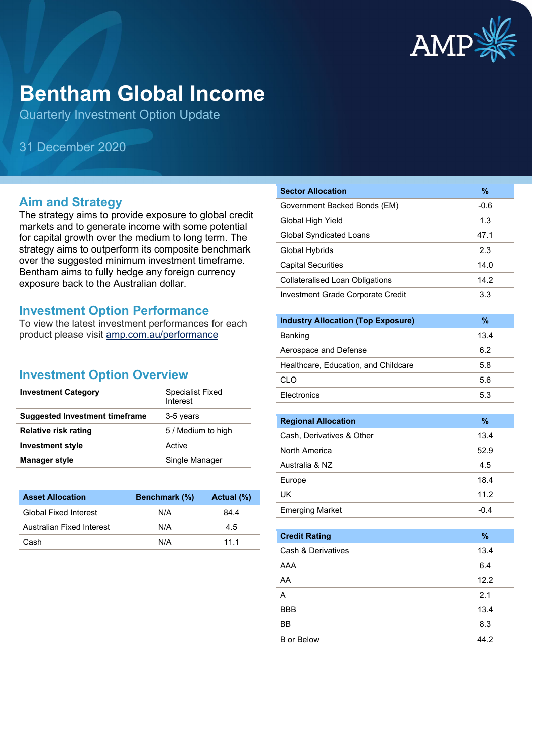

# **Bentham Global Income**

Quarterly Investment Option Update

31 December 2020

# **Aim and Strategy**

The strategy aims to provide exposure to global credit markets and to generate income with some potential for capital growth over the medium to long term. The strategy aims to outperform its composite benchmark over the suggested minimum investment timeframe. Bentham aims to fully hedge any foreign currency exposure back to the Australian dollar.

# **Investment Option Performance**

To view the latest investment performances for each product please visit [amp.com.au/performance](https://www.amp.com.au/performance)

# **Investment Option Overview**

| <b>Investment Category</b>            | <b>Specialist Fixed</b><br>Interest |
|---------------------------------------|-------------------------------------|
| <b>Suggested Investment timeframe</b> | 3-5 years                           |
| <b>Relative risk rating</b>           | 5 / Medium to high                  |
| <b>Investment style</b>               | Active                              |
| <b>Manager style</b>                  | Single Manager                      |

| <b>Asset Allocation</b>      | <b>Benchmark</b> (%) | Actual (%) |
|------------------------------|----------------------|------------|
| <b>Global Fixed Interest</b> | N/A                  | 84.4       |
| Australian Fixed Interest    | N/A                  | 4.5        |
| Cash                         | N/A                  | 11 1       |

| <b>Sector Allocation</b>               | %      |
|----------------------------------------|--------|
| Government Backed Bonds (EM)           | $-0.6$ |
| Global High Yield                      | 1.3    |
| Global Syndicated Loans                | 47.1   |
| Global Hybrids                         | 2.3    |
| <b>Capital Securities</b>              | 14.0   |
| <b>Collateralised Loan Obligations</b> | 14.2   |
| Investment Grade Corporate Credit      | 3.3    |
|                                        |        |

| <b>Industry Allocation (Top Exposure)</b> | %    |
|-------------------------------------------|------|
| Banking                                   | 13.4 |
| Aerospace and Defense                     | 6.2  |
| Healthcare, Education, and Childcare      | 5.8  |
| CLO.                                      | 5.6  |
| <b>Flectronics</b>                        | 5.3  |

| <b>Regional Allocation</b> | $\%$ |
|----------------------------|------|
| Cash, Derivatives & Other  | 13.4 |
| North America              | 52.9 |
| Australia & NZ             | 4.5  |
| Europe                     | 18.4 |
| UK                         | 11.2 |
| <b>Emerging Market</b>     | -0.4 |

| <b>Credit Rating</b> | %    |
|----------------------|------|
| Cash & Derivatives   | 13.4 |
| AAA                  | 6.4  |
| AA                   | 12.2 |
| A                    | 2.1  |
| <b>BBB</b>           | 13.4 |
| BB                   | 8.3  |
| <b>B</b> or Below    | 44.2 |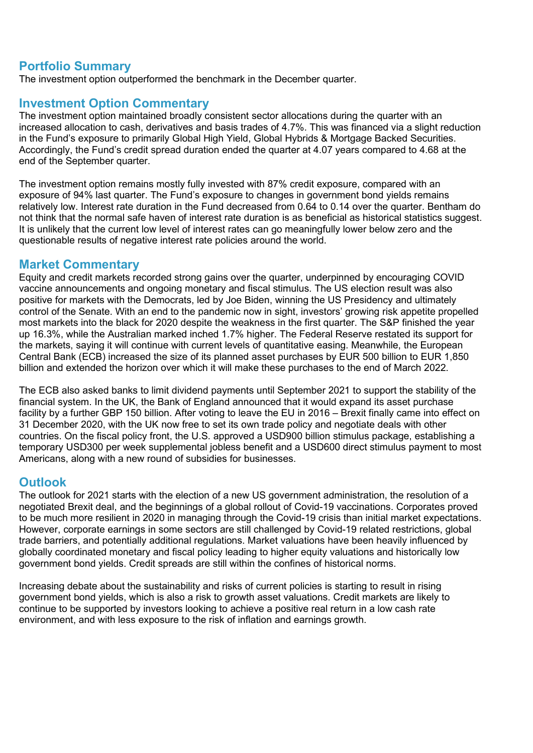# **Portfolio Summary**

The investment option outperformed the benchmark in the December quarter.

# **Investment Option Commentary**

The investment option maintained broadly consistent sector allocations during the quarter with an increased allocation to cash, derivatives and basis trades of 4.7%. This was financed via a slight reduction in the Fund's exposure to primarily Global High Yield, Global Hybrids & Mortgage Backed Securities. Accordingly, the Fund's credit spread duration ended the quarter at 4.07 years compared to 4.68 at the end of the September quarter.

The investment option remains mostly fully invested with 87% credit exposure, compared with an exposure of 94% last quarter. The Fund's exposure to changes in government bond yields remains relatively low. Interest rate duration in the Fund decreased from 0.64 to 0.14 over the quarter. Bentham do not think that the normal safe haven of interest rate duration is as beneficial as historical statistics suggest. It is unlikely that the current low level of interest rates can go meaningfully lower below zero and the questionable results of negative interest rate policies around the world.

## **Market Commentary**

Equity and credit markets recorded strong gains over the quarter, underpinned by encouraging COVID vaccine announcements and ongoing monetary and fiscal stimulus. The US election result was also positive for markets with the Democrats, led by Joe Biden, winning the US Presidency and ultimately control of the Senate. With an end to the pandemic now in sight, investors' growing risk appetite propelled most markets into the black for 2020 despite the weakness in the first quarter. The S&P finished the year up 16.3%, while the Australian marked inched 1.7% higher. The Federal Reserve restated its support for the markets, saying it will continue with current levels of quantitative easing. Meanwhile, the European Central Bank (ECB) increased the size of its planned asset purchases by EUR 500 billion to EUR 1,850 billion and extended the horizon over which it will make these purchases to the end of March 2022.

The ECB also asked banks to limit dividend payments until September 2021 to support the stability of the financial system. In the UK, the Bank of England announced that it would expand its asset purchase facility by a further GBP 150 billion. After voting to leave the EU in 2016 – Brexit finally came into effect on 31 December 2020, with the UK now free to set its own trade policy and negotiate deals with other countries. On the fiscal policy front, the U.S. approved a USD900 billion stimulus package, establishing a temporary USD300 per week supplemental jobless benefit and a USD600 direct stimulus payment to most Americans, along with a new round of subsidies for businesses.

# **Outlook**

The outlook for 2021 starts with the election of a new US government administration, the resolution of a negotiated Brexit deal, and the beginnings of a global rollout of Covid-19 vaccinations. Corporates proved to be much more resilient in 2020 in managing through the Covid-19 crisis than initial market expectations. However, corporate earnings in some sectors are still challenged by Covid-19 related restrictions, global trade barriers, and potentially additional regulations. Market valuations have been heavily influenced by globally coordinated monetary and fiscal policy leading to higher equity valuations and historically low government bond yields. Credit spreads are still within the confines of historical norms.

Increasing debate about the sustainability and risks of current policies is starting to result in rising government bond yields, which is also a risk to growth asset valuations. Credit markets are likely to continue to be supported by investors looking to achieve a positive real return in a low cash rate environment, and with less exposure to the risk of inflation and earnings growth.